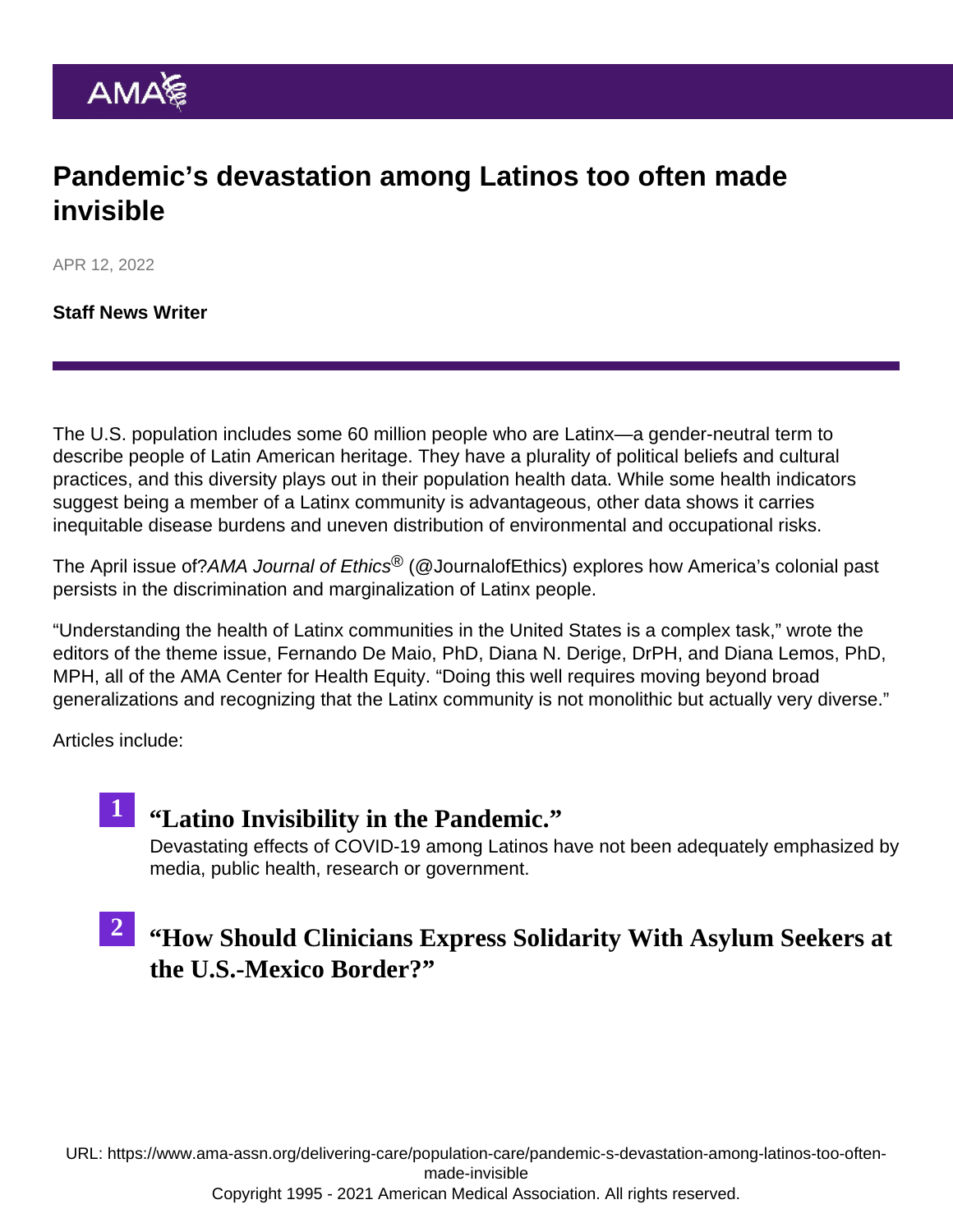## Pandemic's devastation among Latinos too often made invisible

APR 12, 2022

[Staff News Writer](https://www.ama-assn.org/news-leadership-viewpoints/authors-news-leadership-viewpoints/staff-news-writer)

The U.S. population includes some 60 million people who are Latinx—a gender-neutral term to describe people of Latin American heritage. They have a plurality of political beliefs and cultural practices, and this diversity plays out in their population health data. While some health indicators suggest being a member of a Latinx community is advantageous, other data shows it carries inequitable disease burdens and uneven distribution of environmental and occupational risks.

The [April issue](https://journalofethics.ama-assn.org/issue/health-equity-us-latinx-communities) of?AMA Journal of Ethics<sup>®</sup> ([@JournalofEthics\)](https://twitter.com/JournalOfEthics) explores how America's colonial past persists in the discrimination and marginalization of Latinx people.

"Understanding the health of Latinx communities in the United States is a complex task," wrote the editors of the theme issue, Fernando De Maio, PhD, Diana N. Derige, DrPH, and Diana Lemos, PhD, MPH, all of the [AMA Center for Health Equity](https://www.ama-assn.org/about/ama-center-health-equity). "Doing this well requires moving beyond broad generalizations and recognizing that the Latinx community is not monolithic but actually very diverse."

Articles include:

1 "[Latino Invisibility in the Pandemic.](https://journalofethics.ama-assn.org/article/latino-invisibility-pandemic/2022-04)" Devastating effects of COVID-19 among Latinos have not been adequately emphasized by media, public health, research or government.

#### " [How Should Clinicians Express Solidarity With Asylum Seekers a](https://journalofethics.ama-assn.org/article/how-should-clinicians-express-solidarity-asylum-seekers-us-mexico-border/2022-04)t [the U.S.-Mexico Border?](https://journalofethics.ama-assn.org/article/how-should-clinicians-express-solidarity-asylum-seekers-us-mexico-border/2022-04) 2

URL: [https://www.ama-assn.org/delivering-care/population-care/pandemic-s-devastation-among-latinos-too-often](https://www.ama-assn.org/delivering-care/population-care/pandemic-s-devastation-among-latinos-too-often-made-invisible)[made-invisible](https://www.ama-assn.org/delivering-care/population-care/pandemic-s-devastation-among-latinos-too-often-made-invisible)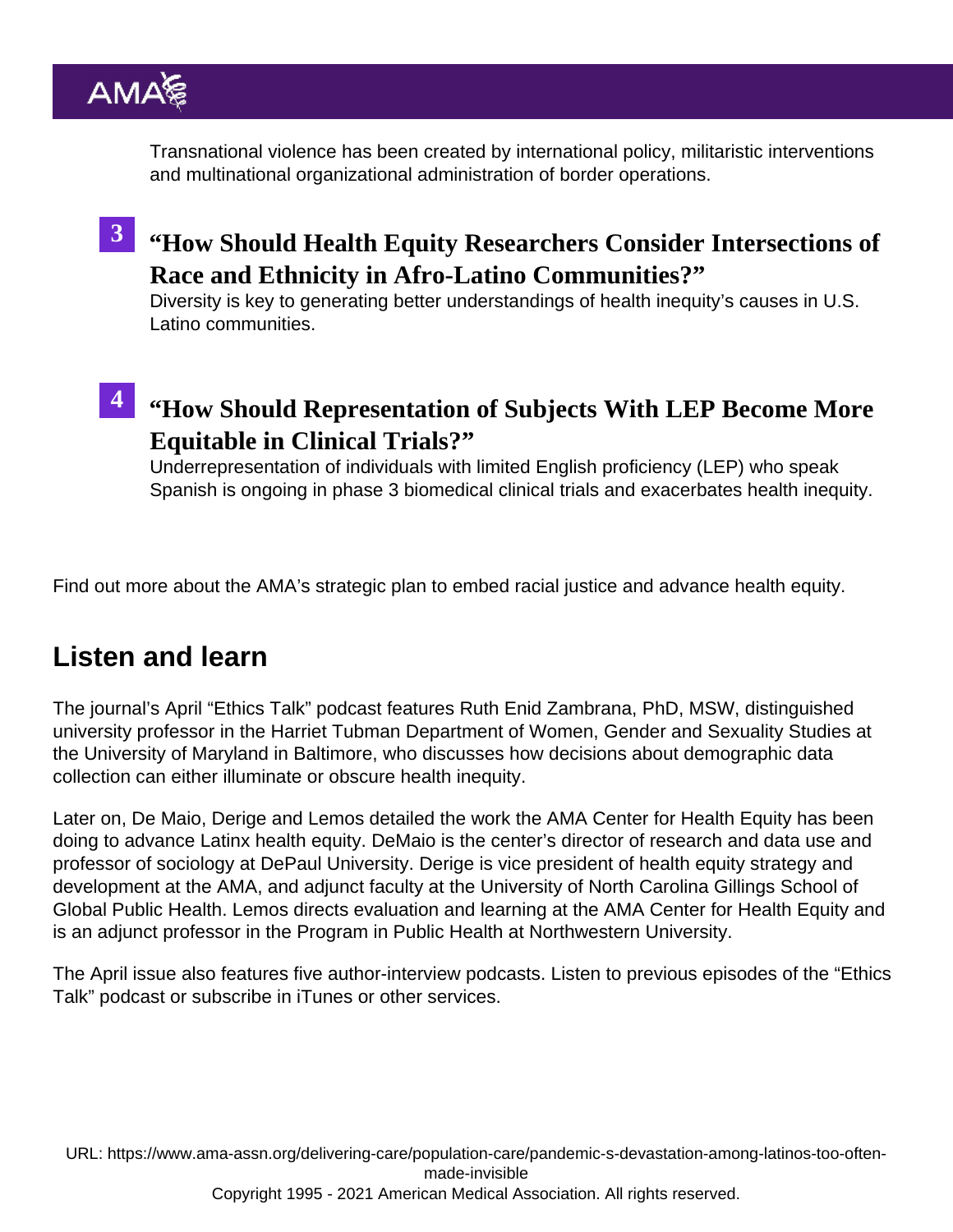Transnational violence has been created by international policy, militaristic interventions and multinational organizational administration of border operations.

<sup>3</sup> "[How Should Health Equity Researchers Consider Intersections](https://journalofethics.ama-assn.org/article/how-should-health-equity-researchers-consider-intersections-race-and-ethnicity-afro-latino/2022-04) of [Race and Ethnicity in Afro-Latino Communities?](https://journalofethics.ama-assn.org/article/how-should-health-equity-researchers-consider-intersections-race-and-ethnicity-afro-latino/2022-04)"

Diversity is key to generating better understandings of health inequity's causes in U.S. Latino communities.

" [How Should Representation of Subjects With LEP Become Mo](https://journalofethics.ama-assn.org/article/how-should-representation-subjects-lep-become-more-equitable-clinical-trials/2022-04)re [Equitable in Clinical Trials?](https://journalofethics.ama-assn.org/article/how-should-representation-subjects-lep-become-more-equitable-clinical-trials/2022-04) " 4

Underrepresentation of individuals with limited English proficiency (LEP) who speak Spanish is ongoing in phase 3 biomedical clinical trials and exacerbates health inequity.

Find out more about the [AMA's strategic plan to embed racial justice and advance health equity](https://www.ama-assn.org/about/leadership/ama-s-strategic-plan-embed-racial-justice-and-advance-health-equity).

## Listen and learn

The journal's April ["Ethics Talk" podcast](https://journalofethics.ama-assn.org/podcast/ethics-talk-how-us-census-left-latinx-americans-behind) features Ruth Enid Zambrana, PhD, MSW, distinguished university professor in the Harriet Tubman Department of Women, Gender and Sexuality Studies at the University of Maryland in Baltimore, who discusses how decisions about demographic data collection can either illuminate or obscure health inequity.

Later on, De Maio, Derige and Lemos detailed the work the [AMA Center for Health Equity](https://www.ama-assn.org/about/ama-center-health-equity) has been doing to advance Latinx health equity. DeMaio is the center's director of research and data use and professor of sociology at DePaul University. Derige is vice president of health equity strategy and development at the AMA, and adjunct faculty at the University of North Carolina Gillings School of Global Public Health. Lemos directs evaluation and learning at the AMA Center for Health Equity and is an adjunct professor in the Program in Public Health at Northwestern University.

The April issue also features five author-interview podcasts. Listen to [previous episodes](https://journalofethics.ama-assn.org/podcasts) of the "Ethics Talk" podcast or subscribe in [iTunes](https://itunes.apple.com/us/podcast/ethics-talk/id1431906161?mt=2) or other services.

URL: [https://www.ama-assn.org/delivering-care/population-care/pandemic-s-devastation-among-latinos-too-often](https://www.ama-assn.org/delivering-care/population-care/pandemic-s-devastation-among-latinos-too-often-made-invisible)[made-invisible](https://www.ama-assn.org/delivering-care/population-care/pandemic-s-devastation-among-latinos-too-often-made-invisible) Copyright 1995 - 2021 American Medical Association. All rights reserved.